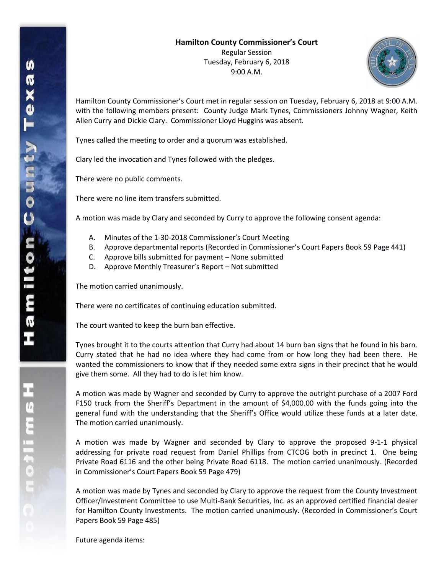

Hamilton County Commissioner's Court met in regular session on Tuesday, February 6, 2018 at 9:00 A.M. with the following members present: County Judge Mark Tynes, Commissioners Johnny Wagner, Keith Allen Curry and Dickie Clary. Commissioner Lloyd Huggins was absent.

Tynes called the meeting to order and a quorum was established.

Clary led the invocation and Tynes followed with the pledges.

There were no public comments.

There were no line item transfers submitted.

A motion was made by Clary and seconded by Curry to approve the following consent agenda:

- A. Minutes of the 1-30-2018 Commissioner's Court Meeting
- B. Approve departmental reports (Recorded in Commissioner's Court Papers Book 59 Page 441)
- C. Approve bills submitted for payment None submitted
- D. Approve Monthly Treasurer's Report Not submitted

The motion carried unanimously.

There were no certificates of continuing education submitted.

The court wanted to keep the burn ban effective.

Tynes brought it to the courts attention that Curry had about 14 burn ban signs that he found in his barn. Curry stated that he had no idea where they had come from or how long they had been there. He wanted the commissioners to know that if they needed some extra signs in their precinct that he would give them some. All they had to do is let him know.

A motion was made by Wagner and seconded by Curry to approve the outright purchase of a 2007 Ford F150 truck from the Sheriff's Department in the amount of \$4,000.00 with the funds going into the general fund with the understanding that the Sheriff's Office would utilize these funds at a later date. The motion carried unanimously.

A motion was made by Wagner and seconded by Clary to approve the proposed 9-1-1 physical addressing for private road request from Daniel Phillips from CTCOG both in precinct 1. One being Private Road 6116 and the other being Private Road 6118. The motion carried unanimously. (Recorded in Commissioner's Court Papers Book 59 Page 479)

A motion was made by Tynes and seconded by Clary to approve the request from the County Investment Officer/Investment Committee to use Multi-Bank Securities, Inc. as an approved certified financial dealer for Hamilton County Investments. The motion carried unanimously. (Recorded in Commissioner's Court Papers Book 59 Page 485)

Future agenda items:

エムミニャクこ